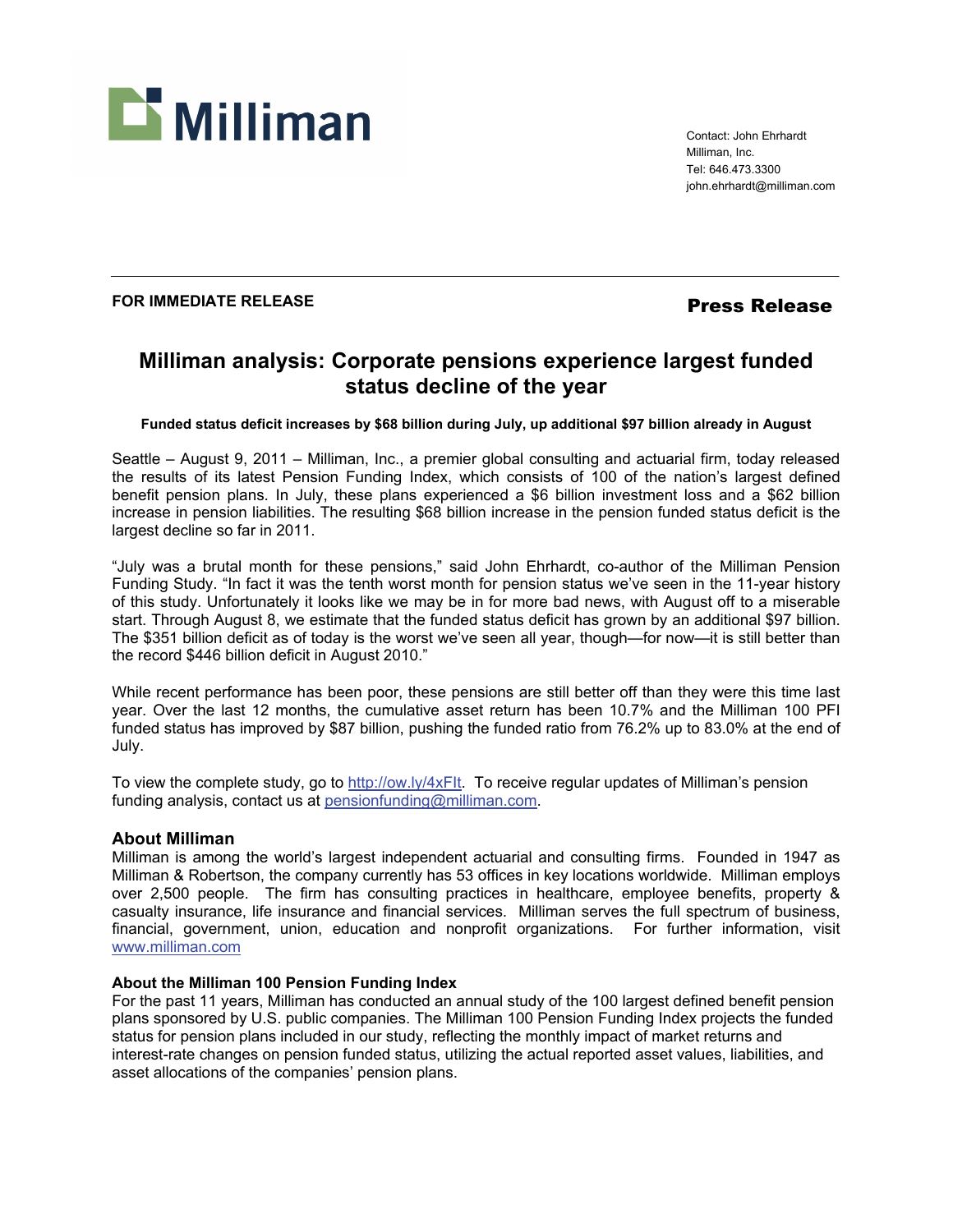

Contact: John Ehrhardt Milliman, Inc. Tel: 646.473.3300 john.ehrhardt@milliman.com

## **FOR IMMEDIATE RELEASE** *Press Release*

# **Milliman analysis: Corporate pensions experience largest funded status decline of the year**

**Funded status deficit increases by \$68 billion during July, up additional \$97 billion already in August** 

Seattle – August 9, 2011 – Milliman, Inc., a premier global consulting and actuarial firm, today released the results of its latest Pension Funding Index, which consists of 100 of the nation's largest defined benefit pension plans. In July, these plans experienced a \$6 billion investment loss and a \$62 billion increase in pension liabilities. The resulting \$68 billion increase in the pension funded status deficit is the largest decline so far in 2011.

"July was a brutal month for these pensions," said John Ehrhardt, co-author of the Milliman Pension Funding Study. "In fact it was the tenth worst month for pension status we've seen in the 11-year history of this study. Unfortunately it looks like we may be in for more bad news, with August off to a miserable start. Through August 8, we estimate that the funded status deficit has grown by an additional \$97 billion. The \$351 billion deficit as of today is the worst we've seen all year, though—for now—it is still better than the record \$446 billion deficit in August 2010."

While recent performance has been poor, these pensions are still better off than they were this time last year. Over the last 12 months, the cumulative asset return has been 10.7% and the Milliman 100 PFI funded status has improved by \$87 billion, pushing the funded ratio from 76.2% up to 83.0% at the end of July.

To view the complete study, go to http://ow.ly/4xFIt. To receive regular updates of Milliman's pension funding analysis, contact us at pensionfunding@milliman.com.

## **About Milliman**

Milliman is among the world's largest independent actuarial and consulting firms. Founded in 1947 as Milliman & Robertson, the company currently has 53 offices in key locations worldwide. Milliman employs over 2,500 people. The firm has consulting practices in healthcare, employee benefits, property & casualty insurance, life insurance and financial services. Milliman serves the full spectrum of business, financial, government, union, education and nonprofit organizations. For further information, visit www.milliman.com

## **About the Milliman 100 Pension Funding Index**

For the past 11 years, Milliman has conducted an annual study of the 100 largest defined benefit pension plans sponsored by U.S. public companies. The Milliman 100 Pension Funding Index projects the funded status for pension plans included in our study, reflecting the monthly impact of market returns and interest-rate changes on pension funded status, utilizing the actual reported asset values, liabilities, and asset allocations of the companies' pension plans.